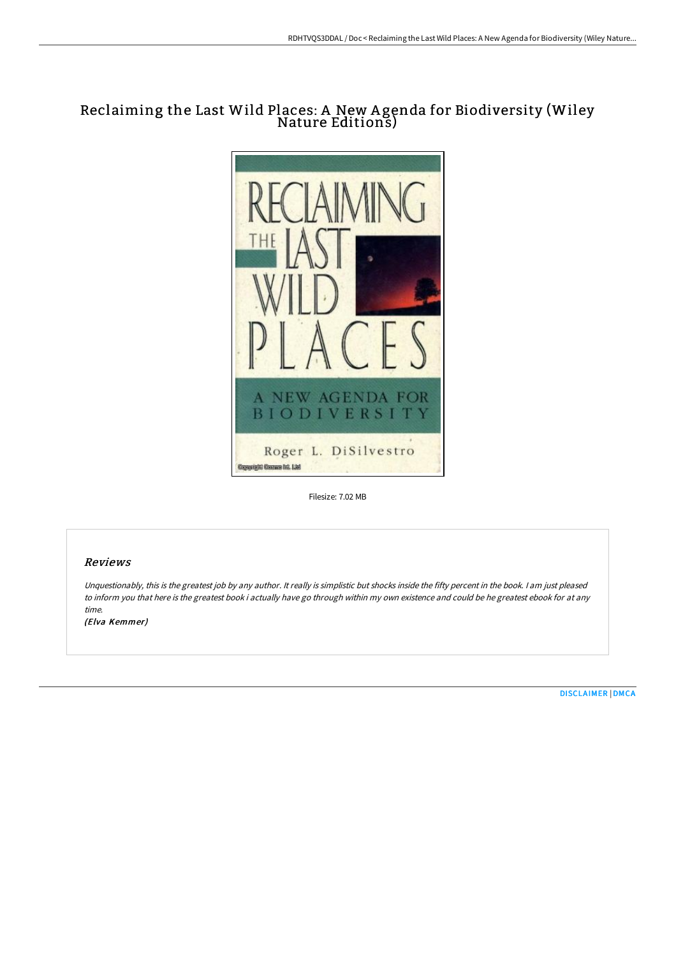# Reclaiming the Last Wild Places: A New Agenda for Biodiversity (Wiley<br>Nature Editions)



Filesize: 7.02 MB

## Reviews

Unquestionably, this is the greatest job by any author. It really is simplistic but shocks inside the fifty percent in the book. <sup>I</sup> am just pleased to inform you that here is the greatest book i actually have go through within my own existence and could be he greatest ebook for at any time.

(Elva Kemmer)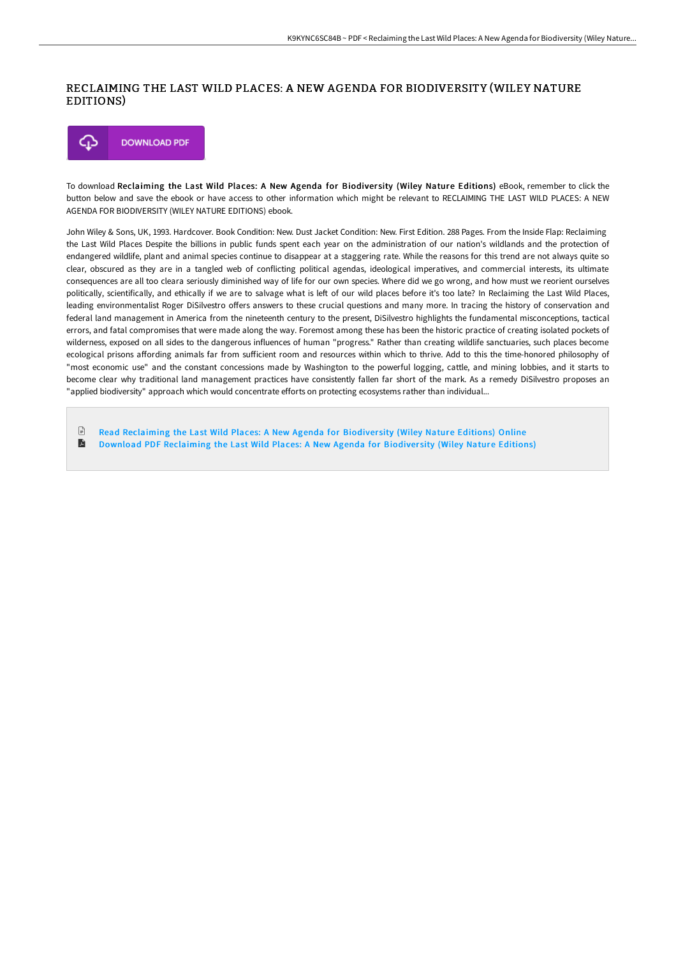### RECLAIMING THE LAST WILD PLACES: A NEW AGENDA FOR BIODIVERSITY (WILEY NATURE EDITIONS)



To download Reclaiming the Last Wild Places: A New Agenda for Biodiversity (Wiley Nature Editions) eBook, remember to click the button below and save the ebook or have access to other information which might be relevant to RECLAIMING THE LAST WILD PLACES: A NEW AGENDA FOR BIODIVERSITY (WILEY NATURE EDITIONS) ebook.

John Wiley & Sons, UK, 1993. Hardcover. Book Condition: New. Dust Jacket Condition: New. First Edition. 288 Pages. From the Inside Flap: Reclaiming the Last Wild Places Despite the billions in public funds spent each year on the administration of our nation's wildlands and the protection of endangered wildlife, plant and animal species continue to disappear at a staggering rate. While the reasons for this trend are not always quite so clear, obscured as they are in a tangled web of conflicting political agendas, ideological imperatives, and commercial interests, its ultimate consequences are all too cleara seriously diminished way of life for our own species. Where did we go wrong, and how must we reorient ourselves politically, scientifically, and ethically if we are to salvage what is left of our wild places before it's too late? In Reclaiming the Last Wild Places, leading environmentalist Roger DiSilvestro offers answers to these crucial questions and many more. In tracing the history of conservation and federal land management in America from the nineteenth century to the present, DiSilvestro highlights the fundamental misconceptions, tactical errors, and fatal compromises that were made along the way. Foremost among these has been the historic practice of creating isolated pockets of wilderness, exposed on all sides to the dangerous influences of human "progress." Rather than creating wildlife sanctuaries, such places become ecological prisons affording animals far from sufficient room and resources within which to thrive. Add to this the time-honored philosophy of "most economic use" and the constant concessions made by Washington to the powerful logging, cattle, and mining lobbies, and it starts to become clear why traditional land management practices have consistently fallen far short of the mark. As a remedy DiSilvestro proposes an "applied biodiversity" approach which would concentrate efforts on protecting ecosystems rather than individual...

 $\mathbb{R}$ Read [Reclaiming](http://albedo.media/reclaiming-the-last-wild-places-a-new-agenda-for.html) the Last Wild Places: A New Agenda for Biodiversity (Wiley Nature Editions) Online E Download PDF [Reclaiming](http://albedo.media/reclaiming-the-last-wild-places-a-new-agenda-for.html) the Last Wild Places: A New Agenda for Biodiversity (Wiley Nature Editions)